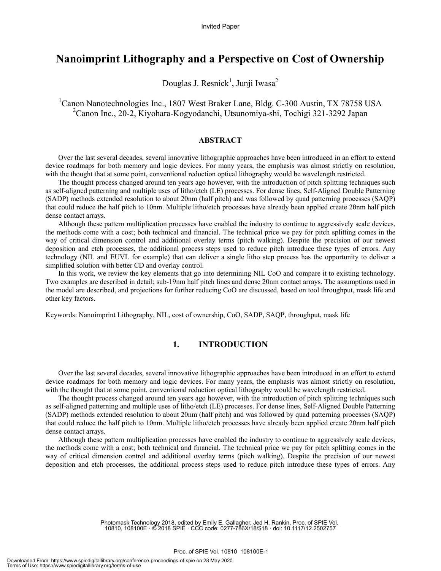# **Nanoimprint Lithography and a Perspective on Cost of Ownership**

Douglas J. Resnick<sup>1</sup>, Junji Iwasa<sup>2</sup>

<sup>1</sup>Canon Nanotechnologies Inc., 1807 West Braker Lane, Bldg. C-300 Austin, TX 78758 USA 2 Canon Inc., 20-2, Kiyohara-Kogyodanchi, Utsunomiya-shi, Tochigi 321-3292 Japan

### **ABSTRACT**

Over the last several decades, several innovative lithographic approaches have been introduced in an effort to extend device roadmaps for both memory and logic devices. For many years, the emphasis was almost strictly on resolution, with the thought that at some point, conventional reduction optical lithography would be wavelength restricted.

The thought process changed around ten years ago however, with the introduction of pitch splitting techniques such as self-aligned patterning and multiple uses of litho/etch (LE) processes. For dense lines, Self-Aligned Double Patterning (SADP) methods extended resolution to about 20nm (half pitch) and was followed by quad patterning processes (SAQP) that could reduce the half pitch to 10nm. Multiple litho/etch processes have already been applied create 20nm half pitch dense contact arrays.

Although these pattern multiplication processes have enabled the industry to continue to aggressively scale devices, the methods come with a cost; both technical and financial. The technical price we pay for pitch splitting comes in the way of critical dimension control and additional overlay terms (pitch walking). Despite the precision of our newest deposition and etch processes, the additional process steps used to reduce pitch introduce these types of errors. Any technology (NIL and EUVL for example) that can deliver a single litho step process has the opportunity to deliver a simplified solution with better CD and overlay control.

In this work, we review the key elements that go into determining NIL CoO and compare it to existing technology. Two examples are described in detail; sub-19nm half pitch lines and dense 20nm contact arrays. The assumptions used in the model are described, and projections for further reducing CoO are discussed, based on tool throughput, mask life and other key factors.

Keywords: Nanoimprint Lithography, NIL, cost of ownership, CoO, SADP, SAQP, throughput, mask life

### **1. INTRODUCTION**

Over the last several decades, several innovative lithographic approaches have been introduced in an effort to extend device roadmaps for both memory and logic devices. For many years, the emphasis was almost strictly on resolution, with the thought that at some point, conventional reduction optical lithography would be wavelength restricted.

The thought process changed around ten years ago however, with the introduction of pitch splitting techniques such as self-aligned patterning and multiple uses of litho/etch (LE) processes. For dense lines, Self-Aligned Double Patterning (SADP) methods extended resolution to about 20nm (half pitch) and was followed by quad patterning processes (SAQP) that could reduce the half pitch to 10nm. Multiple litho/etch processes have already been applied create 20nm half pitch dense contact arrays.

Although these pattern multiplication processes have enabled the industry to continue to aggressively scale devices, the methods come with a cost; both technical and financial. The technical price we pay for pitch splitting comes in the way of critical dimension control and additional overlay terms (pitch walking). Despite the precision of our newest deposition and etch processes, the additional process steps used to reduce pitch introduce these types of errors. Any

> Photomask Technology 2018, edited by Emily E. Gallagher, Jed H. Rankin, Proc. of SPIE Vol. 10810, 108100E · © 2018 SPIE · CCC code: 0277-786X/18/\$18 · doi: 10.1117/12.2502757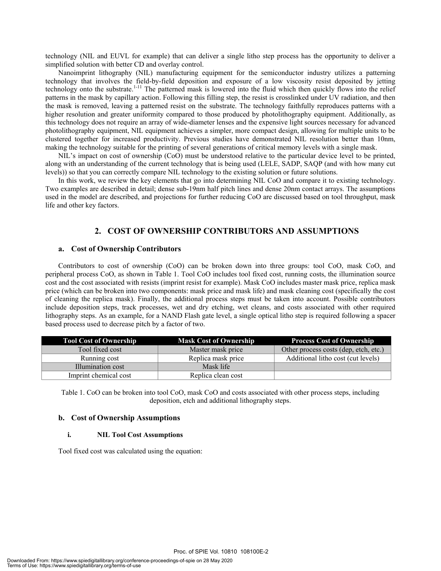technology (NIL and EUVL for example) that can deliver a single litho step process has the opportunity to deliver a simplified solution with better CD and overlay control.

Nanoimprint lithography (NIL) manufacturing equipment for the semiconductor industry utilizes a patterning technology that involves the field-by-field deposition and exposure of a low viscosity resist deposited by jetting technology onto the substrate.<sup>1-11</sup> The patterned mask is lowered into the fluid which then quickly flows into the relief patterns in the mask by capillary action. Following this filling step, the resist is crosslinked under UV radiation, and then the mask is removed, leaving a patterned resist on the substrate. The technology faithfully reproduces patterns with a higher resolution and greater uniformity compared to those produced by photolithography equipment. Additionally, as this technology does not require an array of wide-diameter lenses and the expensive light sources necessary for advanced photolithography equipment, NIL equipment achieves a simpler, more compact design, allowing for multiple units to be clustered together for increased productivity. Previous studies have demonstrated NIL resolution better than 10nm, making the technology suitable for the printing of several generations of critical memory levels with a single mask.

NIL's impact on cost of ownership (CoO) must be understood relative to the particular device level to be printed, along with an understanding of the current technology that is being used (LELE, SADP, SAQP (and with how many cut levels)) so that you can correctly compare NIL technology to the existing solution or future solutions.

In this work, we review the key elements that go into determining NIL CoO and compare it to existing technology. Two examples are described in detail; dense sub-19nm half pitch lines and dense 20nm contact arrays. The assumptions used in the model are described, and projections for further reducing CoO are discussed based on tool throughput, mask life and other key factors.

## **2. COST OF OWNERSHIP CONTRIBUTORS AND ASSUMPTIONS**

### **a. Cost of Ownership Contributors**

Contributors to cost of ownership (CoO) can be broken down into three groups: tool CoO, mask CoO, and peripheral process CoO, as shown in Table 1. Tool CoO includes tool fixed cost, running costs, the illumination source cost and the cost associated with resists (imprint resist for example). Mask CoO includes master mask price, replica mask price (which can be broken into two components: mask price and mask life) and mask cleaning cost (specifically the cost of cleaning the replica mask). Finally, the additional process steps must be taken into account. Possible contributors include deposition steps, track processes, wet and dry etching, wet cleans, and costs associated with other required lithography steps. As an example, for a NAND Flash gate level, a single optical litho step is required following a spacer based process used to decrease pitch by a factor of two.

| <b>Tool Cost of Ownership</b> | <b>Mask Cost of Ownership</b> | <b>Process Cost of Ownership</b>      |
|-------------------------------|-------------------------------|---------------------------------------|
| Tool fixed cost               | Master mask price             | Other process costs (dep, etch, etc.) |
| Running cost                  | Replica mask price            | Additional litho cost (cut levels)    |
| Illumination cost             | Mask life                     |                                       |
| Imprint chemical cost         | Replica clean cost            |                                       |

Table 1. CoO can be broken into tool CoO, mask CoO and costs associated with other process steps, including deposition, etch and additional lithography steps.

### **b. Cost of Ownership Assumptions**

#### **i. NIL Tool Cost Assumptions**

Tool fixed cost was calculated using the equation: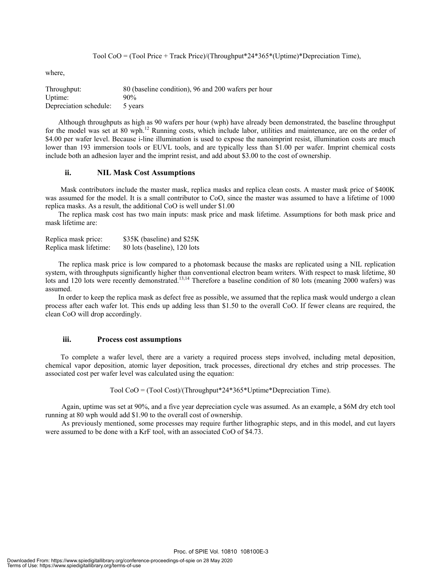Tool CoO = (Tool Price + Track Price)/(Throughput\*24\*365\*(Uptime)\*Depreciation Time),

where,

| Throughput:            | 80 (baseline condition), 96 and 200 wafers per hour |
|------------------------|-----------------------------------------------------|
| Uptime:                | $90\%$                                              |
| Depreciation schedule: | 5 years                                             |

Although throughputs as high as 90 wafers per hour (wph) have already been demonstrated, the baseline throughput for the model was set at 80 wph.<sup>12</sup> Running costs, which include labor, utilities and maintenance, are on the order of \$4.00 per wafer level. Because i-line illumination is used to expose the nanoimprint resist, illumination costs are much lower than 193 immersion tools or EUVL tools, and are typically less than \$1.00 per wafer. Imprint chemical costs include both an adhesion layer and the imprint resist, and add about \$3.00 to the cost of ownership.

#### **ii. NIL Mask Cost Assumptions**

Mask contributors include the master mask, replica masks and replica clean costs. A master mask price of \$400K was assumed for the model. It is a small contributor to CoO, since the master was assumed to have a lifetime of 1000 replica masks. As a result, the additional CoO is well under \$1.00

The replica mask cost has two main inputs: mask price and mask lifetime. Assumptions for both mask price and mask lifetime are:

| Replica mask price:    | \$35K (baseline) and \$25K   |
|------------------------|------------------------------|
| Replica mask lifetime: | 80 lots (baseline), 120 lots |

The replica mask price is low compared to a photomask because the masks are replicated using a NIL replication system, with throughputs significantly higher than conventional electron beam writers. With respect to mask lifetime, 80 lots and 120 lots were recently demonstrated.<sup>13,14</sup> Therefore a baseline condition of 80 lots (meaning 2000 wafers) was assumed.

In order to keep the replica mask as defect free as possible, we assumed that the replica mask would undergo a clean process after each wafer lot. This ends up adding less than \$1.50 to the overall CoO. If fewer cleans are required, the clean CoO will drop accordingly.

### **iii. Process cost assumptions**

To complete a wafer level, there are a variety a required process steps involved, including metal deposition, chemical vapor deposition, atomic layer deposition, track processes, directional dry etches and strip processes. The associated cost per wafer level was calculated using the equation:

Tool CoO = (Tool Cost)/(Throughput\*24\*365\*Uptime\*Depreciation Time).

Again, uptime was set at 90%, and a five year depreciation cycle was assumed. As an example, a \$6M dry etch tool running at 80 wph would add \$1.90 to the overall cost of ownership.

As previously mentioned, some processes may require further lithographic steps, and in this model, and cut layers were assumed to be done with a KrF tool, with an associated CoO of \$4.73.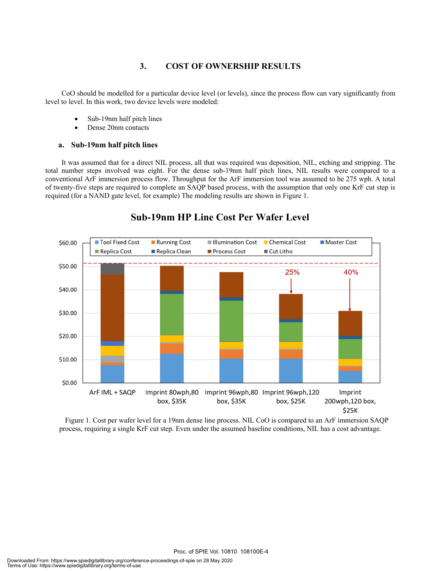## **3. COST OF OWNERSHIP RESULTS**

CoO should be modelled for a particular device level (or levels), since the process flow can vary significantly from level to level. In this work, two device levels were modeled:

- Sub-19nm half pitch lines
- Dense 20nm contacts

### **a. Sub-19nm half pitch lines**

It was assumed that for a direct NIL process, all that was required was deposition, NIL, etching and stripping. The total number steps involved was eight. For the dense sub-19nm half pitch lines, NIL results were compared to a conventional ArF immersion process flow. Throughput for the ArF immersion tool was assumed to be 275 wph. A total of twenty-five steps are required to complete an SAQP based process, with the assumption that only one KrF cut step is required (for a NAND gate level, for example) The modeling results are shown in Figure 1.



# **Sub-19nm HP Line Cost Per Wafer Level**

Figure 1. Cost per wafer level for a 19nm dense line process. NIL CoO is compared to an ArF immersion SAQP process, requiring a single KrF cut step. Even under the assumed baseline conditions, NIL has a cost advantage.

Proc. of SPIE Vol. 10810 108100E-4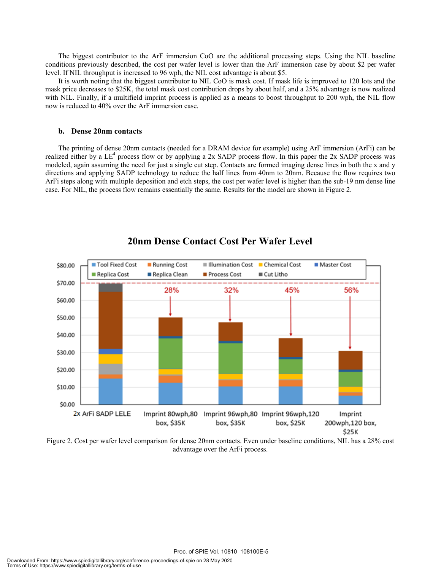The biggest contributor to the ArF immersion CoO are the additional processing steps. Using the NIL baseline conditions previously described, the cost per wafer level is lower than the ArF immersion case by about \$2 per wafer level. If NIL throughput is increased to 96 wph, the NIL cost advantage is about \$5.

It is worth noting that the biggest contributor to NIL CoO is mask cost. If mask life is improved to 120 lots and the mask price decreases to \$25K, the total mask cost contribution drops by about half, and a 25% advantage is now realized with NIL. Finally, if a multifield imprint process is applied as a means to boost throughput to 200 wph, the NIL flow now is reduced to 40% over the ArF immersion case.

### **b. Dense 20nm contacts**

The printing of dense 20nm contacts (needed for a DRAM device for example) using ArF immersion (ArFi) can be realized either by a  $LE<sup>4</sup>$  process flow or by applying a 2x SADP process flow. In this paper the 2x SADP process was modeled, again assuming the need for just a single cut step. Contacts are formed imaging dense lines in both the x and y directions and applying SADP technology to reduce the half lines from 40nm to 20nm. Because the flow requires two ArFi steps along with multiple deposition and etch steps, the cost per wafer level is higher than the sub-19 nm dense line case. For NIL, the process flow remains essentially the same. Results for the model are shown in Figure 2.



# **20nm Dense Contact Cost Per Wafer Level**

Figure 2. Cost per wafer level comparison for dense 20nm contacts. Even under baseline conditions, NIL has a 28% cost advantage over the ArFi process.

Proc. of SPIE Vol. 10810 108100E-5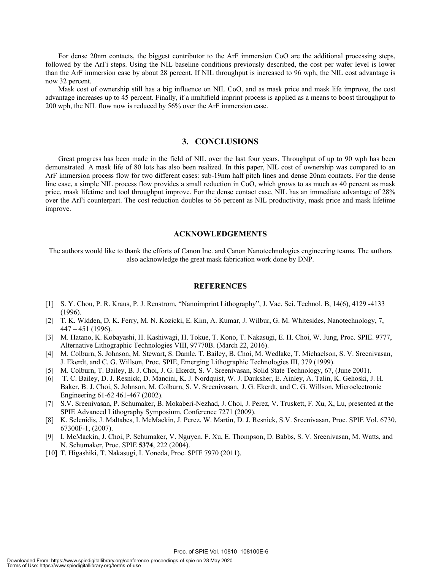For dense 20nm contacts, the biggest contributor to the ArF immersion CoO are the additional processing steps, followed by the ArFi steps. Using the NIL baseline conditions previously described, the cost per wafer level is lower than the ArF immersion case by about 28 percent. If NIL throughput is increased to 96 wph, the NIL cost advantage is now 32 percent.

Mask cost of ownership still has a big influence on NIL CoO, and as mask price and mask life improve, the cost advantage increases up to 45 percent. Finally, if a multifield imprint process is applied as a means to boost throughput to 200 wph, the NIL flow now is reduced by 56% over the ArF immersion case.

### **3. CONCLUSIONS**

 Great progress has been made in the field of NIL over the last four years. Throughput of up to 90 wph has been demonstrated. A mask life of 80 lots has also been realized. In this paper, NIL cost of ownership was compared to an ArF immersion process flow for two different cases: sub-19nm half pitch lines and dense 20nm contacts. For the dense line case, a simple NIL process flow provides a small reduction in CoO, which grows to as much as 40 percent as mask price, mask lifetime and tool throughput improve. For the dense contact case, NIL has an immediate advantage of 28% over the ArFi counterpart. The cost reduction doubles to 56 percent as NIL productivity, mask price and mask lifetime improve.

### **ACKNOWLEDGEMENTS**

The authors would like to thank the efforts of Canon Inc. and Canon Nanotechnologies engineering teams. The authors also acknowledge the great mask fabrication work done by DNP.

#### **REFERENCES**

- [1] S. Y. Chou, P. R. Kraus, P. J. Renstrom, "Nanoimprint Lithography", J. Vac. Sci. Technol. B, 14(6), 4129 -4133 (1996).
- [2] T. K. Widden, D. K. Ferry, M. N. Kozicki, E. Kim, A. Kumar, J. Wilbur, G. M. Whitesides, Nanotechnology, 7, 447 – 451 (1996).
- [3] M. Hatano, K. Kobayashi, H. Kashiwagi, H. Tokue, T. Kono, T. Nakasugi, E. H. Choi, W. Jung, Proc. SPIE. 9777, Alternative Lithographic Technologies VIII, 97770B. (March 22, 2016).
- [4] M. Colburn, S. Johnson, M. Stewart, S. Damle, T. Bailey, B. Choi, M. Wedlake, T. Michaelson, S. V. Sreenivasan, J. Ekerdt, and C. G. Willson, Proc. SPIE, Emerging Lithographic Technologies III, 379 (1999).
- [5] M. Colburn, T. Bailey, B. J. Choi, J. G. Ekerdt, S. V. Sreenivasan, Solid State Technology, 67, (June 2001).
- [6] T. C. Bailey, D. J. Resnick, D. Mancini, K. J. Nordquist, W. J. Dauksher, E. Ainley, A. Talin, K. Gehoski, J. H. Baker, B. J. Choi, S. Johnson, M. Colburn, S. V. Sreenivasan, J. G. Ekerdt, and C. G. Willson, Microelectronic Engineering 61-62 461-467 (2002).
- [7] S.V. Sreenivasan, P. Schumaker, B. Mokaberi-Nezhad, J. Choi, J. Perez, V. Truskett, F. Xu, X, Lu, presented at the SPIE Advanced Lithography Symposium, Conference 7271 (2009).
- [8] K. Selenidis, J. Maltabes, I. McMackin, J. Perez, W. Martin, D. J. Resnick, S.V. Sreenivasan, Proc. SPIE Vol. 6730, 67300F-1, (2007).
- [9] I. McMackin, J. Choi, P. Schumaker, V. Nguyen, F. Xu, E. Thompson, D. Babbs, S. V. Sreenivasan, M. Watts, and N. Schumaker, Proc. SPIE **5374**, 222 (2004).
- [10] T. Higashiki, T. Nakasugi, I. Yoneda, Proc. SPIE 7970 (2011).